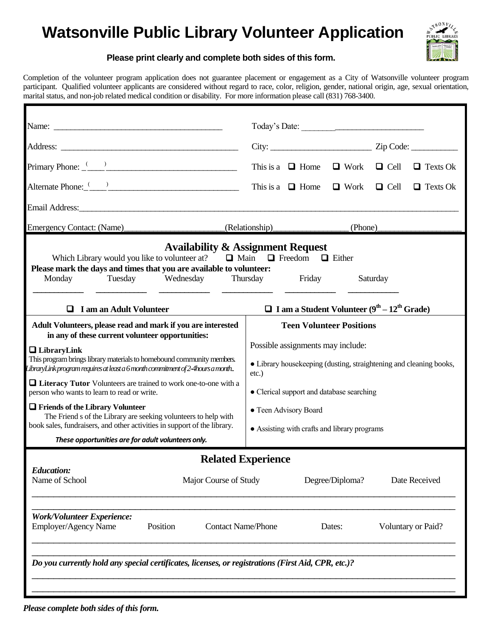## **Watsonville Public Library Volunteer Application**



## **Please print clearly and complete both sides of this form.**

Completion of the volunteer program application does not guarantee placement or engagement as a City of Watsonville volunteer program participant. Qualified volunteer applicants are considered without regard to race, color, religion, gender, national origin, age, sexual orientation, marital status, and non-job related medical condition or disability. For more information please call (831) 768-3400.

|                                                                                                                                                                                                                                                                                                                                                                                                                                                                                                                                                                                                                       |                           | Today's Date:                                                                                                                                                                                                                 |                 |          |                    |  |
|-----------------------------------------------------------------------------------------------------------------------------------------------------------------------------------------------------------------------------------------------------------------------------------------------------------------------------------------------------------------------------------------------------------------------------------------------------------------------------------------------------------------------------------------------------------------------------------------------------------------------|---------------------------|-------------------------------------------------------------------------------------------------------------------------------------------------------------------------------------------------------------------------------|-----------------|----------|--------------------|--|
|                                                                                                                                                                                                                                                                                                                                                                                                                                                                                                                                                                                                                       |                           | $City:$ $Zip Code:$                                                                                                                                                                                                           |                 |          |                    |  |
|                                                                                                                                                                                                                                                                                                                                                                                                                                                                                                                                                                                                                       |                           | This is a $\Box$ Home $\Box$ Work $\Box$ Cell                                                                                                                                                                                 |                 |          | $\Box$ Texts Ok    |  |
| Alternate Phone: (2002)                                                                                                                                                                                                                                                                                                                                                                                                                                                                                                                                                                                               |                           | This is a $\Box$ Home $\Box$ Work $\Box$ Cell                                                                                                                                                                                 |                 |          | $\Box$ Texts Ok    |  |
|                                                                                                                                                                                                                                                                                                                                                                                                                                                                                                                                                                                                                       |                           |                                                                                                                                                                                                                               |                 |          |                    |  |
| Emergency Contact: (Name)                                                                                                                                                                                                                                                                                                                                                                                                                                                                                                                                                                                             |                           | (Relationship) (Phone)                                                                                                                                                                                                        |                 |          |                    |  |
| Which Library would you like to volunteer at? $\Box$ Main $\Box$ Freedom $\Box$ Either<br>Please mark the days and times that you are available to volunteer:<br>Tuesday Wednesday<br>Monday                                                                                                                                                                                                                                                                                                                                                                                                                          | Thursday Friday           |                                                                                                                                                                                                                               |                 | Saturday |                    |  |
| $\Box$ I am an Adult Volunteer<br>Adult Volunteers, please read and mark if you are interested                                                                                                                                                                                                                                                                                                                                                                                                                                                                                                                        |                           | $\Box$ I am a Student Volunteer (9 <sup>th</sup> – 12 <sup>th</sup> Grade)<br><b>Teen Volunteer Positions</b>                                                                                                                 |                 |          |                    |  |
| in any of these current volunteer opportunities:<br>$\Box$ Library Link<br>This program brings library materials to homebound community members.<br>$L$ ibrary $L$ ink program requires at least a 6 month commitment of 2-4 hours a month<br>$\Box$ Literacy Tutor Volunteers are trained to work one-to-one with a<br>person who wants to learn to read or write.<br><b>T</b> Friends of the Library Volunteer<br>The Friend s of the Library are seeking volunteers to help with<br>book sales, fundraisers, and other activities in support of the library.<br>These opportunities are for adult volunteers only. | $etc.$ )                  | Possible assignments may include:<br>• Library housekeeping (dusting, straightening and cleaning books,<br>• Clerical support and database searching<br>• Teen Advisory Board<br>• Assisting with crafts and library programs |                 |          |                    |  |
|                                                                                                                                                                                                                                                                                                                                                                                                                                                                                                                                                                                                                       | <b>Related Experience</b> |                                                                                                                                                                                                                               |                 |          |                    |  |
| <b>Education:</b><br>Name of School<br>Major Course of Study                                                                                                                                                                                                                                                                                                                                                                                                                                                                                                                                                          |                           |                                                                                                                                                                                                                               | Degree/Diploma? |          | Date Received      |  |
| <b>Work/Volunteer Experience:</b><br>Employer/Agency Name<br>Position                                                                                                                                                                                                                                                                                                                                                                                                                                                                                                                                                 | <b>Contact Name/Phone</b> |                                                                                                                                                                                                                               | Dates:          |          | Voluntary or Paid? |  |
| Do you currently hold any special certificates, licenses, or registrations (First Aid, CPR, etc.)?                                                                                                                                                                                                                                                                                                                                                                                                                                                                                                                    |                           |                                                                                                                                                                                                                               |                 |          |                    |  |
|                                                                                                                                                                                                                                                                                                                                                                                                                                                                                                                                                                                                                       |                           |                                                                                                                                                                                                                               |                 |          |                    |  |

*Please complete both sides of this form.*